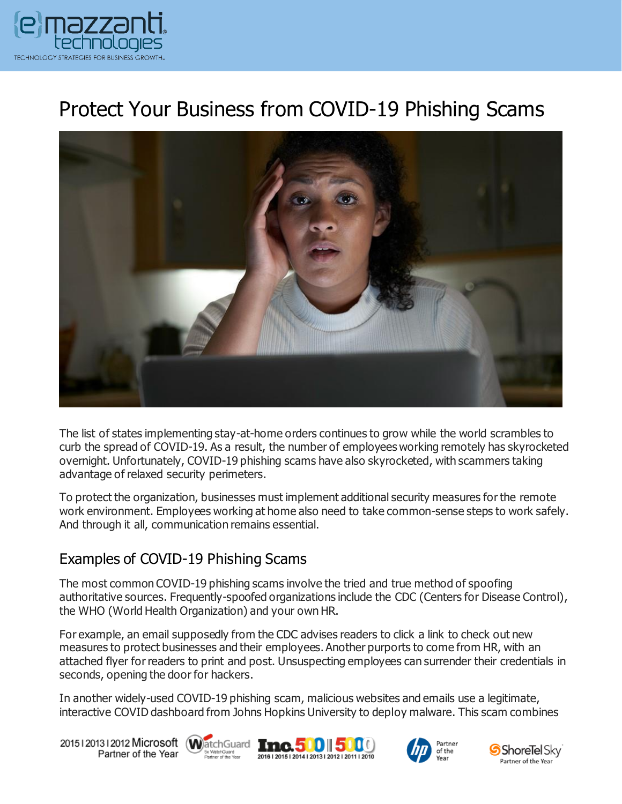

# Protect Your Business from COVID-19 Phishing Scams



The list of states implementing stay-at-home orders continues to grow while the world scrambles to curb the spread of COVID-19. As a result, the number of employees working remotely has skyrocketed overnight. Unfortunately, COVID-19 phishing scams have also skyrocketed, with scammers taking advantage of relaxed security perimeters.

To protect the organization, businesses must implement additional security measures for the remote work environment. Employees working at home also need to take common-sense steps to work safely. And through it all, communication remains essential.

#### Examples of COVID-19 Phishing Scams

The most common COVID-19 phishing scams involve the tried and true method of spoofing authoritative sources. Frequently-spoofed organizations include the CDC (Centers for Disease Control), the WHO (World Health Organization) and your own HR.

For example, an email supposedly from the CDC advises readers to click a link to check out new measures to protect businesses and their employees. Another purports to come from HR, with an attached flyer for readers to print and post. Unsuspecting employees can surrender their credentials in seconds, opening the door for hackers.

In another widely-used COVID-19 phishing scam, malicious websites and emails use a legitimate, interactive COVID dashboard from Johns Hopkins University to deploy malware. This scam combines

20151201312012 Microsoft WatchGuard Tmc. 500 500 Partner of the Year







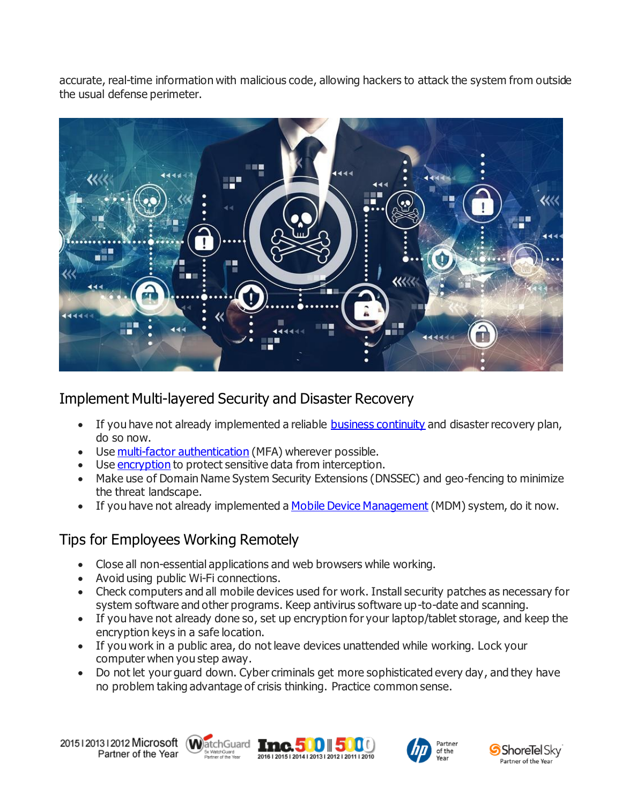accurate, real-time information with malicious code, allowing hackers to attack the system from outside the usual defense perimeter.



## Implement Multi-layered Security and Disaster Recovery

- If you have not already implemented a reliable [business continuity](https://www.emazzanti.net/seven-ways-start-business-continuity-plan/) and disaster recovery plan, do so now.
- Use [multi-factor authentication](https://www.emazzanti.net/passwords-and-multi-factor-authentication/) (MFA) wherever possible.
- Use [encryption](https://messagingarchitects.com/advancements-in-data-encryption/) to protect sensitive data from interception.
- Make use of Domain Name System Security Extensions (DNSSEC) and geo-fencing to minimize the threat landscape.
- If you have not already implemented a [Mobile Device Management](https://www.emazzanti.net/law-firm-mobile-security-best-practices/) (MDM) system, do it now.

### Tips for Employees Working Remotely

- Close all non-essential applications and web browsers while working.
- Avoid using public Wi-Fi connections.
- Check computers and all mobile devices used for work. Install security patches as necessary for system software and other programs. Keep antivirus software up-to-date and scanning.
- If you have not already done so, set up encryption for your laptop/tablet storage, and keep the encryption keys in a safe location.
- If you work in a public area, do not leave devices unattended while working. Lock your computer when you step away.
- Do not let your quard down. Cyber criminals get more sophisticated every day, and they have no problem taking advantage of crisis thinking. Practice common sense.